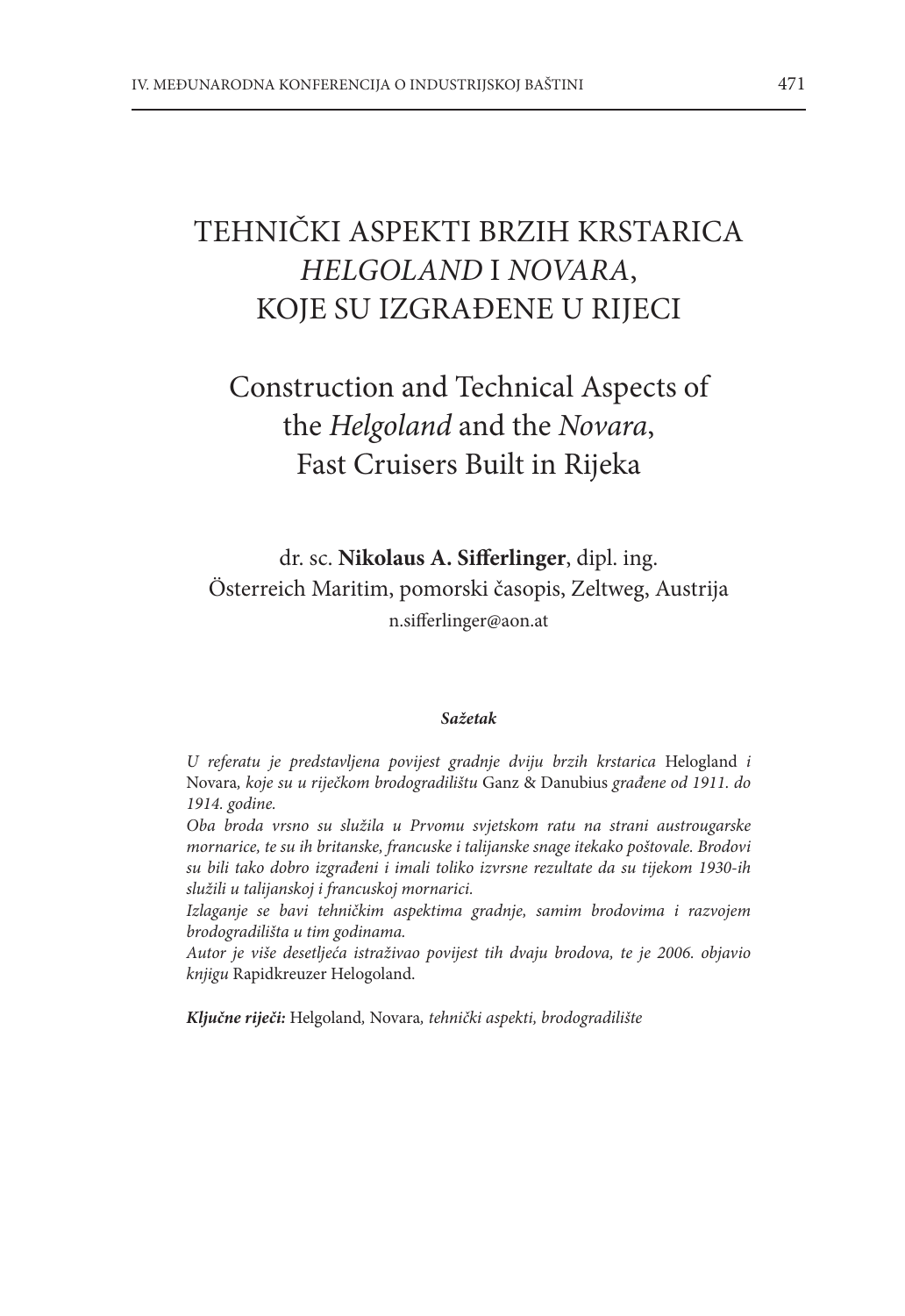## TEHNIČKI ASPEKTI BRZIH KRSTARICA *HELGOLAND* I *NOVARA*, KOJE SU IZGRAĐENE U RIJECI

## Construction and Technical Aspects of the *Helgoland* and the *Novara*, Fast Cruisers Built in Rijeka

dr. sc. **Nikolaus A. Sifferlinger**, dipl. ing. Österreich Maritim, pomorski časopis, Zeltweg, Austrija n.sifferlinger@aon.at

## *Sažetak*

*U referatu je predstavljena povijest gradnje dviju brzih krstarica* Helogland *i*  Novara*, koje su u riječkom brodogradilištu* Ganz & Danubius *građene od 1911. do 1914. godine.*

*Oba broda vrsno su služila u Prvomu svjetskom ratu na strani austrougarske mornarice, te su ih britanske, francuske i talijanske snage itekako poštovale. Brodovi su bili tako dobro izgrađeni i imali toliko izvrsne rezultate da su tijekom 1930-ih služili u talijanskoj i francuskoj mornarici.*

*Izlaganje se bavi tehničkim aspektima gradnje, samim brodovima i razvojem brodogradilišta u tim godinama.*

*Autor je više desetljeća istraživao povijest tih dvaju brodova, te je 2006. objavio knjigu* Rapidkreuzer Helogoland.

*Ključne riječi:* Helgoland*,* Novara*, tehnički aspekti, brodogradilište*